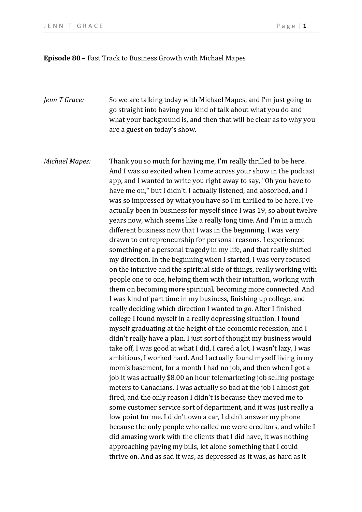## **Episode 80** – Fast Track to Business Growth with Michael Mapes

- *Jenn T Grace:* So we are talking today with Michael Mapes, and I'm just going to go straight into having you kind of talk about what you do and what your background is, and then that will be clear as to why you are a guest on today's show.
- *Michael Mapes:* Thank you so much for having me, I'm really thrilled to be here. And I was so excited when I came across your show in the podcast app, and I wanted to write you right away to say, "Oh you have to have me on," but I didn't. I actually listened, and absorbed, and I was so impressed by what you have so I'm thrilled to be here. I've actually been in business for myself since I was 19, so about twelve years now, which seems like a really long time. And I'm in a much different business now that I was in the beginning. I was very drawn to entrepreneurship for personal reasons. I experienced something of a personal tragedy in my life, and that really shifted my direction. In the beginning when I started, I was very focused on the intuitive and the spiritual side of things, really working with people one to one, helping them with their intuition, working with them on becoming more spiritual, becoming more connected. And I was kind of part time in my business, finishing up college, and really deciding which direction I wanted to go. After I finished college I found myself in a really depressing situation. I found myself graduating at the height of the economic recession, and I didn't really have a plan. I just sort of thought my business would take off, I was good at what I did, I cared a lot, I wasn't lazy, I was ambitious, I worked hard. And I actually found myself living in my mom's basement, for a month I had no job, and then when I got a job it was actually \$8.00 an hour telemarketing job selling postage meters to Canadians. I was actually so bad at the job I almost got fired, and the only reason I didn't is because they moved me to some customer service sort of department, and it was just really a low point for me. I didn't own a car, I didn't answer my phone because the only people who called me were creditors, and while I did amazing work with the clients that I did have, it was nothing approaching paying my bills, let alone something that I could thrive on. And as sad it was, as depressed as it was, as hard as it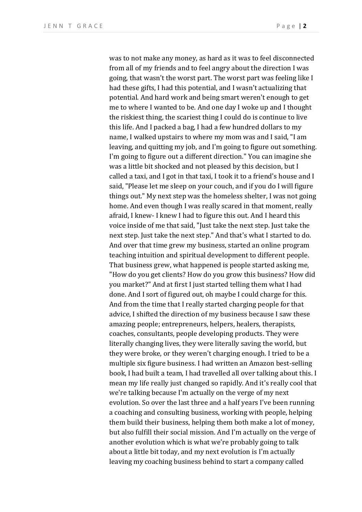was to not make any money, as hard as it was to feel disconnected from all of my friends and to feel angry about the direction I was going, that wasn't the worst part. The worst part was feeling like I had these gifts, I had this potential, and I wasn't actualizing that potential. And hard work and being smart weren't enough to get me to where I wanted to be. And one day I woke up and I thought the riskiest thing, the scariest thing I could do is continue to live this life. And I packed a bag, I had a few hundred dollars to my name, I walked upstairs to where my mom was and I said, "I am leaving, and quitting my job, and I'm going to figure out something. I'm going to figure out a different direction." You can imagine she was a little bit shocked and not pleased by this decision, but I called a taxi, and I got in that taxi, I took it to a friend's house and I said, "Please let me sleep on your couch, and if you do I will figure things out." My next step was the homeless shelter, I was not going home. And even though I was really scared in that moment, really afraid, I knew- I knew I had to figure this out. And I heard this voice inside of me that said, "Just take the next step. Just take the next step. Just take the next step." And that's what I started to do. And over that time grew my business, started an online program teaching intuition and spiritual development to different people. That business grew, what happened is people started asking me, "How do you get clients? How do you grow this business? How did you market?" And at first I just started telling them what I had done. And I sort of figured out, oh maybe I could charge for this. And from the time that I really started charging people for that advice, I shifted the direction of my business because I saw these amazing people; entrepreneurs, helpers, healers, therapists, coaches, consultants, people developing products. They were literally changing lives, they were literally saving the world, but they were broke, or they weren't charging enough. I tried to be a multiple six figure business. I had written an Amazon best-selling book, I had built a team, I had travelled all over talking about this. I mean my life really just changed so rapidly. And it's really cool that we're talking because I'm actually on the verge of my next evolution. So over the last three and a half years I've been running a coaching and consulting business, working with people, helping them build their business, helping them both make a lot of money, but also fulfill their social mission. And I'm actually on the verge of another evolution which is what we're probably going to talk about a little bit today, and my next evolution is I'm actually leaving my coaching business behind to start a company called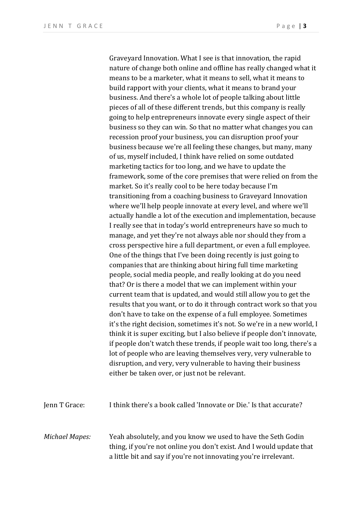Graveyard Innovation. What I see is that innovation, the rapid nature of change both online and offline has really changed what it means to be a marketer, what it means to sell, what it means to build rapport with your clients, what it means to brand your business. And there's a whole lot of people talking about little pieces of all of these different trends, but this company is really going to help entrepreneurs innovate every single aspect of their business so they can win. So that no matter what changes you can recession proof your business, you can disruption proof your business because we're all feeling these changes, but many, many of us, myself included, I think have relied on some outdated marketing tactics for too long, and we have to update the framework, some of the core premises that were relied on from the market. So it's really cool to be here today because I'm transitioning from a coaching business to Graveyard Innovation where we'll help people innovate at every level, and where we'll actually handle a lot of the execution and implementation, because I really see that in today's world entrepreneurs have so much to manage, and yet they're not always able nor should they from a cross perspective hire a full department, or even a full employee. One of the things that I've been doing recently is just going to companies that are thinking about hiring full time marketing people, social media people, and really looking at do you need that? Or is there a model that we can implement within your current team that is updated, and would still allow you to get the results that you want, or to do it through contract work so that you don't have to take on the expense of a full employee. Sometimes it's the right decision, sometimes it's not. So we're in a new world, I think it is super exciting, but I also believe if people don't innovate, if people don't watch these trends, if people wait too long, there's a lot of people who are leaving themselves very, very vulnerable to disruption, and very, very vulnerable to having their business either be taken over, or just not be relevant.

| Jenn T Grace:  | I think there's a book called 'Innovate or Die.' Is that accurate?                                                                   |
|----------------|--------------------------------------------------------------------------------------------------------------------------------------|
| Michael Mapes: | Yeah absolutely, and you know we used to have the Seth Godin<br>thing, if you're not online you don't exist. And I would update that |
|                | a little bit and say if you're not innovating you're irrelevant.                                                                     |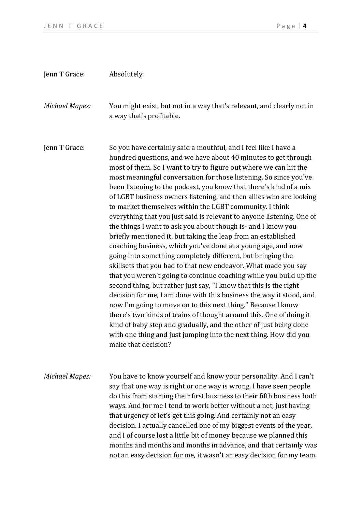## Jenn T Grace: Absolutely. *Michael Mapes:* You might exist, but not in a way that's relevant, and clearly not in a way that's profitable. Jenn T Grace: So you have certainly said a mouthful, and I feel like I have a hundred questions, and we have about 40 minutes to get through most of them. So I want to try to figure out where we can hit the most meaningful conversation for those listening. So since you've been listening to the podcast, you know that there's kind of a mix of LGBT business owners listening, and then allies who are looking to market themselves within the LGBT community. I think everything that you just said is relevant to anyone listening. One of the things I want to ask you about though is- and I know you briefly mentioned it, but taking the leap from an established coaching business, which you've done at a young age, and now going into something completely different, but bringing the skillsets that you had to that new endeavor. What made you say that you weren't going to continue coaching while you build up the second thing, but rather just say, "I know that this is the right decision for me, I am done with this business the way it stood, and now I'm going to move on to this next thing." Because I know there's two kinds of trains of thought around this. One of doing it kind of baby step and gradually, and the other of just being done with one thing and just jumping into the next thing. How did you make that decision? *Michael Mapes:* You have to know yourself and know your personality. And I can't say that one way is right or one way is wrong. I have seen people do this from starting their first business to their fifth business both ways. And for me I tend to work better without a net, just having that urgency of let's get this going. And certainly not an easy decision. I actually cancelled one of my biggest events of the year, and I of course lost a little bit of money because we planned this months and months and months in advance, and that certainly was not an easy decision for me, it wasn't an easy decision for my team.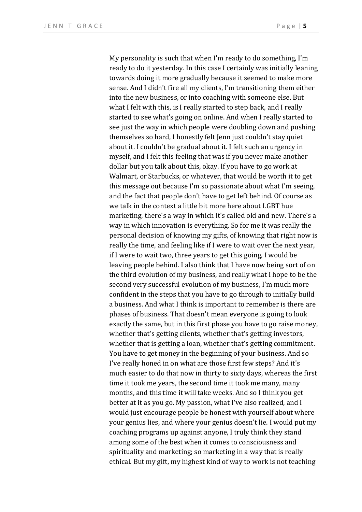My personality is such that when I'm ready to do something, I'm ready to do it yesterday. In this case I certainly was initially leaning towards doing it more gradually because it seemed to make more sense. And I didn't fire all my clients, I'm transitioning them either into the new business, or into coaching with someone else. But what I felt with this, is I really started to step back, and I really started to see what's going on online. And when I really started to see just the way in which people were doubling down and pushing themselves so hard, I honestly felt Jenn just couldn't stay quiet about it. I couldn't be gradual about it. I felt such an urgency in myself, and I felt this feeling that was if you never make another dollar but you talk about this, okay. If you have to go work at Walmart, or Starbucks, or whatever, that would be worth it to get this message out because I'm so passionate about what I'm seeing, and the fact that people don't have to get left behind. Of course as we talk in the context a little bit more here about LGBT hue marketing, there's a way in which it's called old and new. There's a way in which innovation is everything. So for me it was really the personal decision of knowing my gifts, of knowing that right now is really the time, and feeling like if I were to wait over the next year, if I were to wait two, three years to get this going, I would be leaving people behind. I also think that I have now being sort of on the third evolution of my business, and really what I hope to be the second very successful evolution of my business, I'm much more confident in the steps that you have to go through to initially build a business. And what I think is important to remember is there are phases of business. That doesn't mean everyone is going to look exactly the same, but in this first phase you have to go raise money, whether that's getting clients, whether that's getting investors, whether that is getting a loan, whether that's getting commitment. You have to get money in the beginning of your business. And so I've really honed in on what are those first few steps? And it's much easier to do that now in thirty to sixty days, whereas the first time it took me years, the second time it took me many, many months, and this time it will take weeks. And so I think you get better at it as you go. My passion, what I've also realized, and I would just encourage people be honest with yourself about where your genius lies, and where your genius doesn't lie. I would put my coaching programs up against anyone, I truly think they stand among some of the best when it comes to consciousness and spirituality and marketing; so marketing in a way that is really ethical. But my gift, my highest kind of way to work is not teaching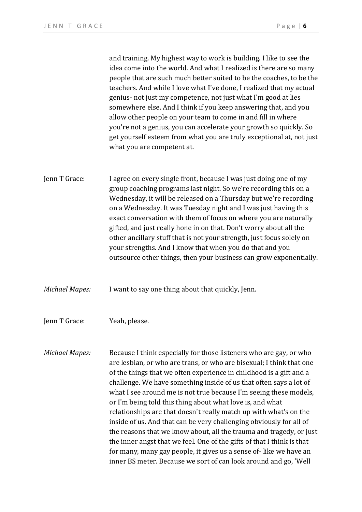and training. My highest way to work is building. I like to see the idea come into the world. And what I realized is there are so many people that are such much better suited to be the coaches, to be the teachers. And while I love what I've done, I realized that my actual genius- not just my competence, not just what I'm good at lies somewhere else. And I think if you keep answering that, and you allow other people on your team to come in and fill in where you're not a genius, you can accelerate your growth so quickly. So get yourself esteem from what you are truly exceptional at, not just what you are competent at.

Jenn T Grace: I agree on every single front, because I was just doing one of my group coaching programs last night. So we're recording this on a Wednesday, it will be released on a Thursday but we're recording on a Wednesday. It was Tuesday night and I was just having this exact conversation with them of focus on where you are naturally gifted, and just really hone in on that. Don't worry about all the other ancillary stuff that is not your strength, just focus solely on your strengths. And I know that when you do that and you outsource other things, then your business can grow exponentially.

*Michael Mapes:* I want to say one thing about that quickly, Jenn.

Jenn T Grace: Yeah, please.

*Michael Mapes:* Because I think especially for those listeners who are gay, or who are lesbian, or who are trans, or who are bisexual; I think that one of the things that we often experience in childhood is a gift and a challenge. We have something inside of us that often says a lot of what I see around me is not true because I'm seeing these models, or I'm being told this thing about what love is, and what relationships are that doesn't really match up with what's on the inside of us. And that can be very challenging obviously for all of the reasons that we know about, all the trauma and tragedy, or just the inner angst that we feel. One of the gifts of that I think is that for many, many gay people, it gives us a sense of- like we have an inner BS meter. Because we sort of can look around and go, 'Well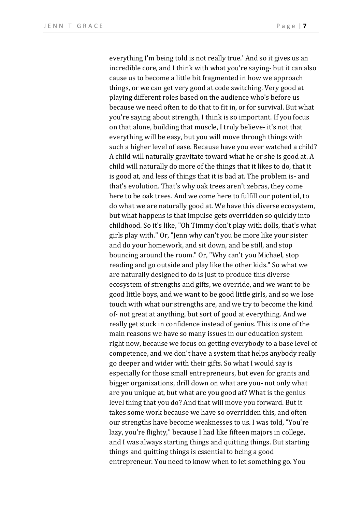everything I'm being told is not really true.' And so it gives us an incredible core, and I think with what you're saying- but it can also cause us to become a little bit fragmented in how we approach things, or we can get very good at code switching. Very good at playing different roles based on the audience who's before us because we need often to do that to fit in, or for survival. But what you're saying about strength, I think is so important. If you focus on that alone, building that muscle, I truly believe- it's not that everything will be easy, but you will move through things with such a higher level of ease. Because have you ever watched a child? A child will naturally gravitate toward what he or she is good at. A child will naturally do more of the things that it likes to do, that it is good at, and less of things that it is bad at. The problem is- and that's evolution. That's why oak trees aren't zebras, they come here to be oak trees. And we come here to fulfill our potential, to do what we are naturally good at. We have this diverse ecosystem, but what happens is that impulse gets overridden so quickly into childhood. So it's like, "Oh Timmy don't play with dolls, that's what girls play with." Or, "Jenn why can't you be more like your sister and do your homework, and sit down, and be still, and stop bouncing around the room." Or, "Why can't you Michael, stop reading and go outside and play like the other kids." So what we are naturally designed to do is just to produce this diverse ecosystem of strengths and gifts, we override, and we want to be good little boys, and we want to be good little girls, and so we lose touch with what our strengths are, and we try to become the kind of- not great at anything, but sort of good at everything. And we really get stuck in confidence instead of genius. This is one of the main reasons we have so many issues in our education system right now, because we focus on getting everybody to a base level of competence, and we don't have a system that helps anybody really go deeper and wider with their gifts. So what I would say is especially for those small entrepreneurs, but even for grants and bigger organizations, drill down on what are you- not only what are you unique at, but what are you good at? What is the genius level thing that you do? And that will move you forward. But it takes some work because we have so overridden this, and often our strengths have become weaknesses to us. I was told, "You're lazy, you're flighty," because I had like fifteen majors in college, and I was always starting things and quitting things. But starting things and quitting things is essential to being a good entrepreneur. You need to know when to let something go. You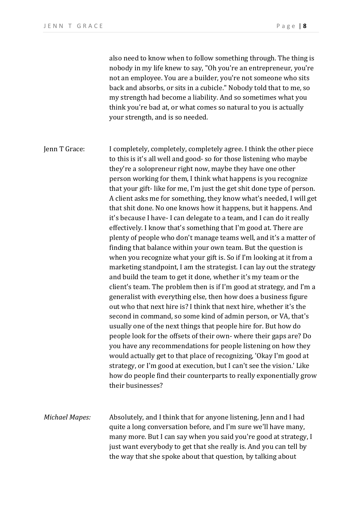also need to know when to follow something through. The thing is nobody in my life knew to say, "Oh you're an entrepreneur, you're not an employee. You are a builder, you're not someone who sits back and absorbs, or sits in a cubicle." Nobody told that to me, so my strength had become a liability. And so sometimes what you think you're bad at, or what comes so natural to you is actually your strength, and is so needed.

Jenn T Grace: I completely, completely, completely agree. I think the other piece to this is it's all well and good- so for those listening who maybe they're a solopreneur right now, maybe they have one other person working for them, I think what happens is you recognize that your gift- like for me, I'm just the get shit done type of person. A client asks me for something, they know what's needed, I will get that shit done. No one knows how it happens, but it happens. And it's because I have- I can delegate to a team, and I can do it really effectively. I know that's something that I'm good at. There are plenty of people who don't manage teams well, and it's a matter of finding that balance within your own team. But the question is when you recognize what your gift is. So if I'm looking at it from a marketing standpoint, I am the strategist. I can lay out the strategy and build the team to get it done, whether it's my team or the client's team. The problem then is if I'm good at strategy, and I'm a generalist with everything else, then how does a business figure out who that next hire is? I think that next hire, whether it's the second in command, so some kind of admin person, or VA, that's usually one of the next things that people hire for. But how do people look for the offsets of their own- where their gaps are? Do you have any recommendations for people listening on how they would actually get to that place of recognizing, 'Okay I'm good at strategy, or I'm good at execution, but I can't see the vision.' Like how do people find their counterparts to really exponentially grow their businesses? *Michael Mapes:* Absolutely, and I think that for anyone listening, Jenn and I had

quite a long conversation before, and I'm sure we'll have many, many more. But I can say when you said you're good at strategy, I just want everybody to get that she really is. And you can tell by the way that she spoke about that question, by talking about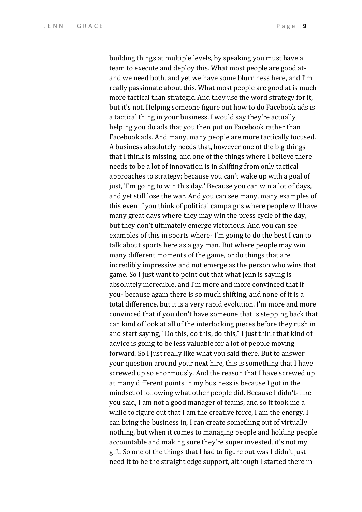building things at multiple levels, by speaking you must have a team to execute and deploy this. What most people are good atand we need both, and yet we have some blurriness here, and I'm really passionate about this. What most people are good at is much more tactical than strategic. And they use the word strategy for it, but it's not. Helping someone figure out how to do Facebook ads is a tactical thing in your business. I would say they're actually helping you do ads that you then put on Facebook rather than Facebook ads. And many, many people are more tactically focused. A business absolutely needs that, however one of the big things that I think is missing, and one of the things where I believe there needs to be a lot of innovation is in shifting from only tactical approaches to strategy; because you can't wake up with a goal of just, 'I'm going to win this day.' Because you can win a lot of days, and yet still lose the war. And you can see many, many examples of this even if you think of political campaigns where people will have many great days where they may win the press cycle of the day, but they don't ultimately emerge victorious. And you can see examples of this in sports where- I'm going to do the best I can to talk about sports here as a gay man. But where people may win many different moments of the game, or do things that are incredibly impressive and not emerge as the person who wins that game. So I just want to point out that what Jenn is saying is absolutely incredible, and I'm more and more convinced that if you- because again there is so much shifting, and none of it is a total difference, but it is a very rapid evolution. I'm more and more convinced that if you don't have someone that is stepping back that can kind of look at all of the interlocking pieces before they rush in and start saying, "Do this, do this, do this," I just think that kind of advice is going to be less valuable for a lot of people moving forward. So I just really like what you said there. But to answer your question around your next hire, this is something that I have screwed up so enormously. And the reason that I have screwed up at many different points in my business is because I got in the mindset of following what other people did. Because I didn't- like you said, I am not a good manager of teams, and so it took me a while to figure out that I am the creative force, I am the energy. I can bring the business in, I can create something out of virtually nothing, but when it comes to managing people and holding people accountable and making sure they're super invested, it's not my gift. So one of the things that I had to figure out was I didn't just need it to be the straight edge support, although I started there in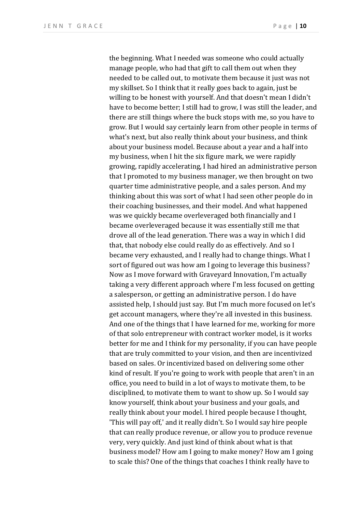the beginning. What I needed was someone who could actually manage people, who had that gift to call them out when they needed to be called out, to motivate them because it just was not my skillset. So I think that it really goes back to again, just be willing to be honest with yourself. And that doesn't mean I didn't have to become better; I still had to grow, I was still the leader, and there are still things where the buck stops with me, so you have to grow. But I would say certainly learn from other people in terms of what's next, but also really think about your business, and think about your business model. Because about a year and a half into my business, when I hit the six figure mark, we were rapidly growing, rapidly accelerating, I had hired an administrative person that I promoted to my business manager, we then brought on two quarter time administrative people, and a sales person. And my thinking about this was sort of what I had seen other people do in their coaching businesses, and their model. And what happened was we quickly became overleveraged both financially and I became overleveraged because it was essentially still me that drove all of the lead generation. There was a way in which I did that, that nobody else could really do as effectively. And so I became very exhausted, and I really had to change things. What I sort of figured out was how am I going to leverage this business? Now as I move forward with Graveyard Innovation, I'm actually taking a very different approach where I'm less focused on getting a salesperson, or getting an administrative person. I do have assisted help, I should just say. But I'm much more focused on let's get account managers, where they're all invested in this business. And one of the things that I have learned for me, working for more of that solo entrepreneur with contract worker model, is it works better for me and I think for my personality, if you can have people that are truly committed to your vision, and then are incentivized based on sales. Or incentivized based on delivering some other kind of result. If you're going to work with people that aren't in an office, you need to build in a lot of ways to motivate them, to be disciplined, to motivate them to want to show up. So I would say know yourself, think about your business and your goals, and really think about your model. I hired people because I thought, 'This will pay off,' and it really didn't. So I would say hire people that can really produce revenue, or allow you to produce revenue very, very quickly. And just kind of think about what is that business model? How am I going to make money? How am I going to scale this? One of the things that coaches I think really have to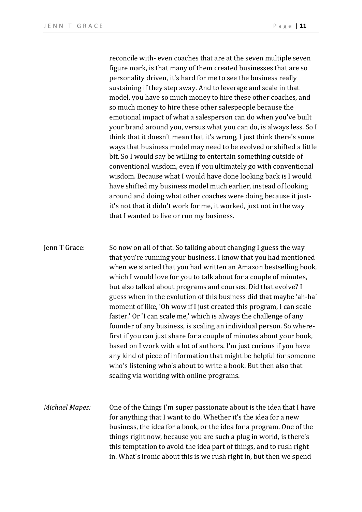reconcile with- even coaches that are at the seven multiple seven figure mark, is that many of them created businesses that are so personality driven, it's hard for me to see the business really sustaining if they step away. And to leverage and scale in that model, you have so much money to hire these other coaches, and so much money to hire these other salespeople because the emotional impact of what a salesperson can do when you've built your brand around you, versus what you can do, is always less. So I think that it doesn't mean that it's wrong, I just think there's some ways that business model may need to be evolved or shifted a little bit. So I would say be willing to entertain something outside of conventional wisdom, even if you ultimately go with conventional wisdom. Because what I would have done looking back is I would have shifted my business model much earlier, instead of looking around and doing what other coaches were doing because it justit's not that it didn't work for me, it worked, just not in the way that I wanted to live or run my business.

## Jenn T Grace: So now on all of that. So talking about changing I guess the way that you're running your business. I know that you had mentioned when we started that you had written an Amazon bestselling book, which I would love for you to talk about for a couple of minutes, but also talked about programs and courses. Did that evolve? I guess when in the evolution of this business did that maybe 'ah-ha' moment of like, 'Oh wow if I just created this program, I can scale faster.' Or 'I can scale me,' which is always the challenge of any founder of any business, is scaling an individual person. So wherefirst if you can just share for a couple of minutes about your book, based on I work with a lot of authors. I'm just curious if you have any kind of piece of information that might be helpful for someone who's listening who's about to write a book. But then also that scaling via working with online programs.

*Michael Mapes:* One of the things I'm super passionate about is the idea that I have for anything that I want to do. Whether it's the idea for a new business, the idea for a book, or the idea for a program. One of the things right now, because you are such a plug in world, is there's this temptation to avoid the idea part of things, and to rush right in. What's ironic about this is we rush right in, but then we spend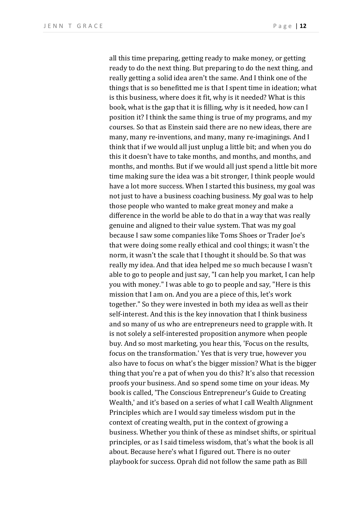all this time preparing, getting ready to make money, or getting ready to do the next thing. But preparing to do the next thing, and really getting a solid idea aren't the same. And I think one of the things that is so benefitted me is that I spent time in ideation; what is this business, where does it fit, why is it needed? What is this book, what is the gap that it is filling, why is it needed, how can I position it? I think the same thing is true of my programs, and my courses. So that as Einstein said there are no new ideas, there are many, many re-inventions, and many, many re-imaginings. And I think that if we would all just unplug a little bit; and when you do this it doesn't have to take months, and months, and months, and months, and months. But if we would all just spend a little bit more time making sure the idea was a bit stronger, I think people would have a lot more success. When I started this business, my goal was not just to have a business coaching business. My goal was to help those people who wanted to make great money and make a difference in the world be able to do that in a way that was really genuine and aligned to their value system. That was my goal because I saw some companies like Toms Shoes or Trader Joe's that were doing some really ethical and cool things; it wasn't the norm, it wasn't the scale that I thought it should be. So that was really my idea. And that idea helped me so much because I wasn't able to go to people and just say, "I can help you market, I can help you with money." I was able to go to people and say, "Here is this mission that I am on. And you are a piece of this, let's work together." So they were invested in both my idea as well as their self-interest. And this is the key innovation that I think business and so many of us who are entrepreneurs need to grapple with. It is not solely a self-interested proposition anymore when people buy. And so most marketing, you hear this, 'Focus on the results, focus on the transformation.' Yes that is very true, however you also have to focus on what's the bigger mission? What is the bigger thing that you're a pat of when you do this? It's also that recession proofs your business. And so spend some time on your ideas. My book is called, 'The Conscious Entrepreneur's Guide to Creating Wealth,' and it's based on a series of what I call Wealth Alignment Principles which are I would say timeless wisdom put in the context of creating wealth, put in the context of growing a business. Whether you think of these as mindset shifts, or spiritual principles, or as I said timeless wisdom, that's what the book is all about. Because here's what I figured out. There is no outer playbook for success. Oprah did not follow the same path as Bill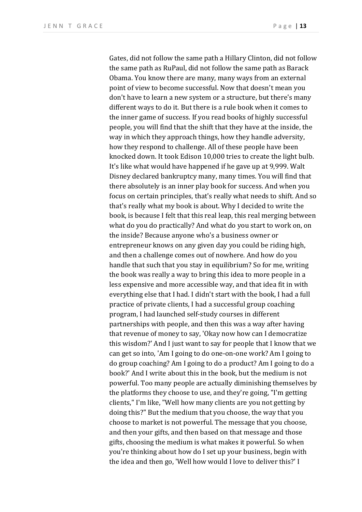Gates, did not follow the same path a Hillary Clinton, did not follow the same path as RuPaul, did not follow the same path as Barack Obama. You know there are many, many ways from an external point of view to become successful. Now that doesn't mean you don't have to learn a new system or a structure, but there's many different ways to do it. But there is a rule book when it comes to the inner game of success. If you read books of highly successful people, you will find that the shift that they have at the inside, the way in which they approach things, how they handle adversity, how they respond to challenge. All of these people have been knocked down. It took Edison 10,000 tries to create the light bulb. It's like what would have happened if he gave up at 9,999. Walt Disney declared bankruptcy many, many times. You will find that there absolutely is an inner play book for success. And when you focus on certain principles, that's really what needs to shift. And so that's really what my book is about. Why I decided to write the book, is because I felt that this real leap, this real merging between what do you do practically? And what do you start to work on, on the inside? Because anyone who's a business owner or entrepreneur knows on any given day you could be riding high, and then a challenge comes out of nowhere. And how do you handle that such that you stay in equilibrium? So for me, writing the book was really a way to bring this idea to more people in a less expensive and more accessible way, and that idea fit in with everything else that I had. I didn't start with the book, I had a full practice of private clients, I had a successful group coaching program, I had launched self-study courses in different partnerships with people, and then this was a way after having that revenue of money to say, 'Okay now how can I democratize this wisdom?' And I just want to say for people that I know that we can get so into, 'Am I going to do one-on-one work? Am I going to do group coaching? Am I going to do a product? Am I going to do a book?' And I write about this in the book, but the medium is not powerful. Too many people are actually diminishing themselves by the platforms they choose to use, and they're going, "I'm getting clients," I'm like, "Well how many clients are you not getting by doing this?" But the medium that you choose, the way that you choose to market is not powerful. The message that you choose, and then your gifts, and then based on that message and those gifts, choosing the medium is what makes it powerful. So when you're thinking about how do I set up your business, begin with the idea and then go, 'Well how would I love to deliver this?' I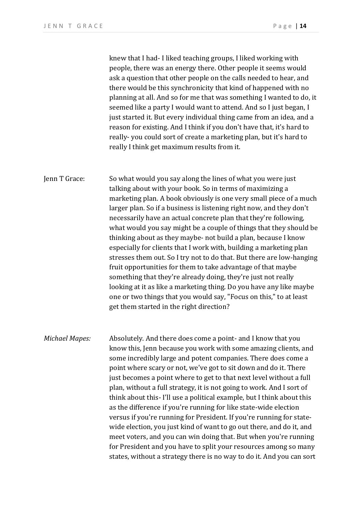knew that I had- I liked teaching groups, I liked working with people, there was an energy there. Other people it seems would ask a question that other people on the calls needed to hear, and there would be this synchronicity that kind of happened with no planning at all. And so for me that was something I wanted to do, it seemed like a party I would want to attend. And so I just began, I just started it. But every individual thing came from an idea, and a reason for existing. And I think if you don't have that, it's hard to really- you could sort of create a marketing plan, but it's hard to really I think get maximum results from it.

Jenn T Grace: So what would you say along the lines of what you were just talking about with your book. So in terms of maximizing a marketing plan. A book obviously is one very small piece of a much larger plan. So if a business is listening right now, and they don't necessarily have an actual concrete plan that they're following, what would you say might be a couple of things that they should be thinking about as they maybe- not build a plan, because I know especially for clients that I work with, building a marketing plan stresses them out. So I try not to do that. But there are low-hanging fruit opportunities for them to take advantage of that maybe something that they're already doing, they're just not really looking at it as like a marketing thing. Do you have any like maybe one or two things that you would say, "Focus on this," to at least get them started in the right direction?

*Michael Mapes:* Absolutely. And there does come a point- and I know that you know this, Jenn because you work with some amazing clients, and some incredibly large and potent companies. There does come a point where scary or not, we've got to sit down and do it. There just becomes a point where to get to that next level without a full plan, without a full strategy, it is not going to work. And I sort of think about this- I'll use a political example, but I think about this as the difference if you're running for like state-wide election versus if you're running for President. If you're running for statewide election, you just kind of want to go out there, and do it, and meet voters, and you can win doing that. But when you're running for President and you have to split your resources among so many states, without a strategy there is no way to do it. And you can sort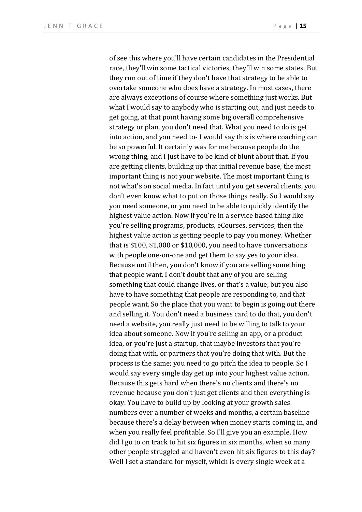of see this where you'll have certain candidates in the Presidential race, they'll win some tactical victories, they'll win some states. But they run out of time if they don't have that strategy to be able to overtake someone who does have a strategy. In most cases, there are always exceptions of course where something just works. But what I would say to anybody who is starting out, and just needs to get going, at that point having some big overall comprehensive strategy or plan, you don't need that. What you need to do is get into action, and you need to- I would say this is where coaching can be so powerful. It certainly was for me because people do the wrong thing, and I just have to be kind of blunt about that. If you are getting clients, building up that initial revenue base, the most important thing is not your website. The most important thing is not what's on social media. In fact until you get several clients, you don't even know what to put on those things really. So I would say you need someone, or you need to be able to quickly identify the highest value action. Now if you're in a service based thing like you're selling programs, products, eCourses, services; then the highest value action is getting people to pay you money. Whether that is \$100, \$1,000 or \$10,000, you need to have conversations with people one-on-one and get them to say yes to your idea. Because until then, you don't know if you are selling something that people want. I don't doubt that any of you are selling something that could change lives, or that's a value, but you also have to have something that people are responding to, and that people want. So the place that you want to begin is going out there and selling it. You don't need a business card to do that, you don't need a website, you really just need to be willing to talk to your idea about someone. Now if you're selling an app, or a product idea, or you're just a startup, that maybe investors that you're doing that with, or partners that you're doing that with. But the process is the same; you need to go pitch the idea to people. So I would say every single day get up into your highest value action. Because this gets hard when there's no clients and there's no revenue because you don't just get clients and then everything is okay. You have to build up by looking at your growth sales numbers over a number of weeks and months, a certain baseline because there's a delay between when money starts coming in, and when you really feel profitable. So I'll give you an example. How did I go to on track to hit six figures in six months, when so many other people struggled and haven't even hit six figures to this day? Well I set a standard for myself, which is every single week at a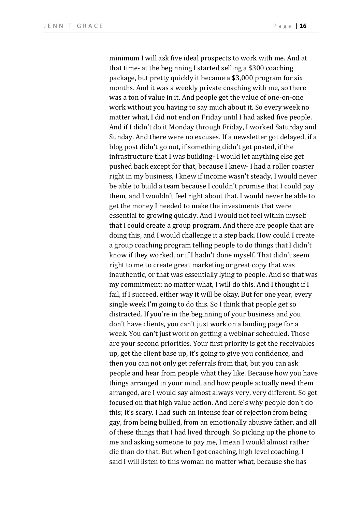minimum I will ask five ideal prospects to work with me. And at that time- at the beginning I started selling a \$300 coaching package, but pretty quickly it became a \$3,000 program for six months. And it was a weekly private coaching with me, so there was a ton of value in it. And people get the value of one-on-one work without you having to say much about it. So every week no matter what, I did not end on Friday until I had asked five people. And if I didn't do it Monday through Friday, I worked Saturday and Sunday. And there were no excuses. If a newsletter got delayed, if a blog post didn't go out, if something didn't get posted, if the infrastructure that I was building- I would let anything else get pushed back except for that, because I knew- I had a roller coaster right in my business, I knew if income wasn't steady, I would never be able to build a team because I couldn't promise that I could pay them, and I wouldn't feel right about that. I would never be able to get the money I needed to make the investments that were essential to growing quickly. And I would not feel within myself that I could create a group program. And there are people that are doing this, and I would challenge it a step back. How could I create a group coaching program telling people to do things that I didn't know if they worked, or if I hadn't done myself. That didn't seem right to me to create great marketing or great copy that was inauthentic, or that was essentially lying to people. And so that was my commitment; no matter what, I will do this. And I thought if I fail, if I succeed, either way it will be okay. But for one year, every single week I'm going to do this. So I think that people get so distracted. If you're in the beginning of your business and you don't have clients, you can't just work on a landing page for a week. You can't just work on getting a webinar scheduled. Those are your second priorities. Your first priority is get the receivables up, get the client base up, it's going to give you confidence, and then you can not only get referrals from that, but you can ask people and hear from people what they like. Because how you have things arranged in your mind, and how people actually need them arranged, are I would say almost always very, very different. So get focused on that high value action. And here's why people don't do this; it's scary. I had such an intense fear of rejection from being gay, from being bullied, from an emotionally abusive father, and all of these things that I had lived through. So picking up the phone to me and asking someone to pay me, I mean I would almost rather die than do that. But when I got coaching, high level coaching, I said I will listen to this woman no matter what, because she has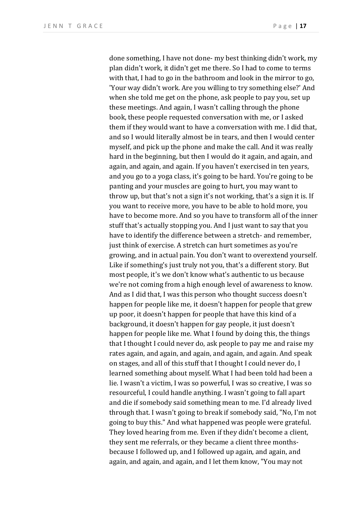done something, I have not done- my best thinking didn't work, my plan didn't work, it didn't get me there. So I had to come to terms with that, I had to go in the bathroom and look in the mirror to go, 'Your way didn't work. Are you willing to try something else?' And when she told me get on the phone, ask people to pay you, set up these meetings. And again, I wasn't calling through the phone book, these people requested conversation with me, or I asked them if they would want to have a conversation with me. I did that, and so I would literally almost be in tears, and then I would center myself, and pick up the phone and make the call. And it was really hard in the beginning, but then I would do it again, and again, and again, and again, and again. If you haven't exercised in ten years, and you go to a yoga class, it's going to be hard. You're going to be panting and your muscles are going to hurt, you may want to throw up, but that's not a sign it's not working, that's a sign it is. If you want to receive more, you have to be able to hold more, you have to become more. And so you have to transform all of the inner stuff that's actually stopping you. And I just want to say that you have to identify the difference between a stretch- and remember, just think of exercise. A stretch can hurt sometimes as you're growing, and in actual pain. You don't want to overextend yourself. Like if something's just truly not you, that's a different story. But most people, it's we don't know what's authentic to us because we're not coming from a high enough level of awareness to know. And as I did that, I was this person who thought success doesn't happen for people like me, it doesn't happen for people that grew up poor, it doesn't happen for people that have this kind of a background, it doesn't happen for gay people, it just doesn't happen for people like me. What I found by doing this, the things that I thought I could never do, ask people to pay me and raise my rates again, and again, and again, and again, and again. And speak on stages, and all of this stuff that I thought I could never do, I learned something about myself. What I had been told had been a lie. I wasn't a victim, I was so powerful, I was so creative, I was so resourceful, I could handle anything. I wasn't going to fall apart and die if somebody said something mean to me. I'd already lived through that. I wasn't going to break if somebody said, "No, I'm not going to buy this." And what happened was people were grateful. They loved hearing from me. Even if they didn't become a client, they sent me referrals, or they became a client three monthsbecause I followed up, and I followed up again, and again, and again, and again, and again, and I let them know, "You may not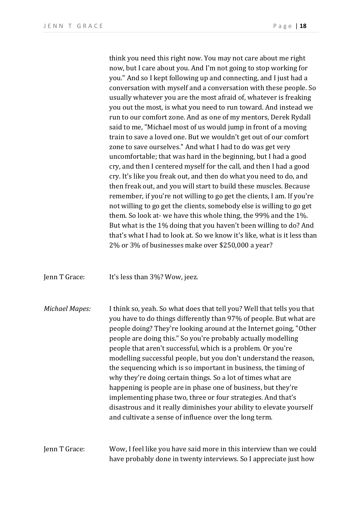think you need this right now. You may not care about me right now, but I care about you. And I'm not going to stop working for you." And so I kept following up and connecting, and I just had a conversation with myself and a conversation with these people. So usually whatever you are the most afraid of, whatever is freaking you out the most, is what you need to run toward. And instead we run to our comfort zone. And as one of my mentors, Derek Rydall said to me, "Michael most of us would jump in front of a moving train to save a loved one. But we wouldn't get out of our comfort zone to save ourselves." And what I had to do was get very uncomfortable; that was hard in the beginning, but I had a good cry, and then I centered myself for the call, and then I had a good cry. It's like you freak out, and then do what you need to do, and then freak out, and you will start to build these muscles. Because remember, if you're not willing to go get the clients, I am. If you're not willing to go get the clients, somebody else is willing to go get them. So look at- we have this whole thing, the 99% and the 1%. But what is the 1% doing that you haven't been willing to do? And that's what I had to look at. So we know it's like, what is it less than 2% or 3% of businesses make over \$250,000 a year?

Jenn T Grace: It's less than 3%? Wow, jeez.

*Michael Mapes:* I think so, yeah. So what does that tell you? Well that tells you that you have to do things differently than 97% of people. But what are people doing? They're looking around at the Internet going, "Other people are doing this." So you're probably actually modelling people that aren't successful, which is a problem. Or you're modelling successful people, but you don't understand the reason, the sequencing which is so important in business, the timing of why they're doing certain things. So a lot of times what are happening is people are in phase one of business, but they're implementing phase two, three or four strategies. And that's disastrous and it really diminishes your ability to elevate yourself and cultivate a sense of influence over the long term.

## Jenn T Grace: Wow, I feel like you have said more in this interview than we could have probably done in twenty interviews. So I appreciate just how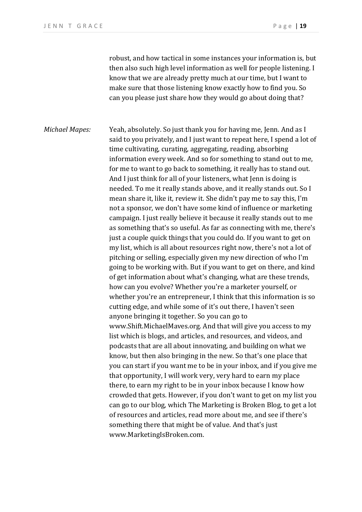robust, and how tactical in some instances your information is, but then also such high level information as well for people listening. I know that we are already pretty much at our time, but I want to make sure that those listening know exactly how to find you. So can you please just share how they would go about doing that?

*Michael Mapes:* Yeah, absolutely. So just thank you for having me, Jenn. And as I said to you privately, and I just want to repeat here, I spend a lot of time cultivating, curating, aggregating, reading, absorbing information every week. And so for something to stand out to me, for me to want to go back to something, it really has to stand out. And I just think for all of your listeners, what Jenn is doing is needed. To me it really stands above, and it really stands out. So I mean share it, like it, review it. She didn't pay me to say this, I'm not a sponsor, we don't have some kind of influence or marketing campaign. I just really believe it because it really stands out to me as something that's so useful. As far as connecting with me, there's just a couple quick things that you could do. If you want to get on my list, which is all about resources right now, there's not a lot of pitching or selling, especially given my new direction of who I'm going to be working with. But if you want to get on there, and kind of get information about what's changing, what are these trends, how can you evolve? Whether you're a marketer yourself, or whether you're an entrepreneur, I think that this information is so cutting edge, and while some of it's out there, I haven't seen anyone bringing it together. So you can go to www.Shift.MichaelMaves.org. And that will give you access to my list which is blogs, and articles, and resources, and videos, and podcasts that are all about innovating, and building on what we know, but then also bringing in the new. So that's one place that you can start if you want me to be in your inbox, and if you give me that opportunity, I will work very, very hard to earn my place there, to earn my right to be in your inbox because I know how crowded that gets. However, if you don't want to get on my list you can go to our blog, which The Marketing is Broken Blog, to get a lot of resources and articles, read more about me, and see if there's something there that might be of value. And that's just www.MarketingIsBroken.com.